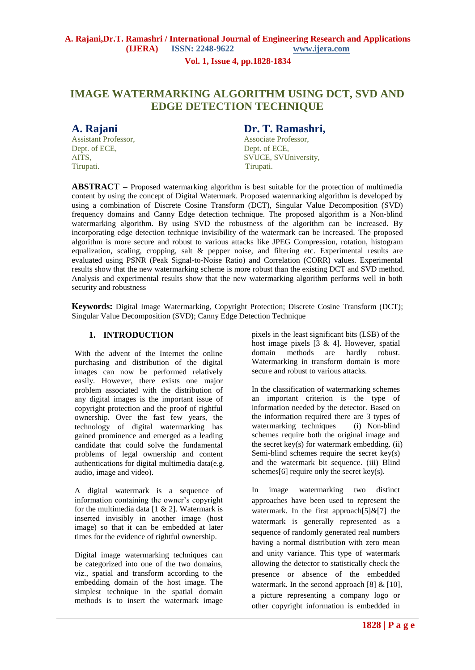#### **Vol. 1, Issue 4, pp.1828-1834**

# **IMAGE WATERMARKING ALGORITHM USING DCT, SVD AND EDGE DETECTION TECHNIQUE**

Dept. of ECE, Dept. of ECE, Tirupati. Tirupati.

# **A. Rajani Dr. T. Ramashri,**

Assistant Professor, Associate Professor, AITS, SVUCE, SVUIniversity,

**ABSTRACT –** Proposed watermarking algorithm is best suitable for the protection of multimedia content by using the concept of Digital Watermark. Proposed watermarking algorithm is developed by using a combination of Discrete Cosine Transform (DCT), Singular Value Decomposition (SVD) frequency domains and Canny Edge detection technique. The proposed algorithm is a Non-blind watermarking algorithm. By using SVD the robustness of the algorithm can be increased. By incorporating edge detection technique invisibility of the watermark can be increased. The proposed algorithm is more secure and robust to various attacks like JPEG Compression, rotation, histogram equalization, scaling, cropping, salt & pepper noise, and filtering etc. Experimental results are evaluated using PSNR (Peak Signal-to-Noise Ratio) and Correlation (CORR) values. Experimental results show that the new watermarking scheme is more robust than the existing DCT and SVD method. Analysis and experimental results show that the new watermarking algorithm performs well in both security and robustness

**Keywords:** Digital Image Watermarking, Copyright Protection; Discrete Cosine Transform (DCT); Singular Value Decomposition (SVD); Canny Edge Detection Technique

## **1. INTRODUCTION**

With the advent of the Internet the online purchasing and distribution of the digital images can now be performed relatively easily. However, there exists one major problem associated with the distribution of any digital images is the important issue of copyright protection and the proof of rightful ownership. Over the fast few years, the technology of digital watermarking has gained prominence and emerged as a leading candidate that could solve the fundamental problems of legal ownership and content authentications for digital multimedia data(e.g. audio, image and video).

A digital watermark is a sequence of information containing the owner's copyright for the multimedia data  $[1 \& 2]$ . Watermark is inserted invisibly in another image (host image) so that it can be embedded at later times for the evidence of rightful ownership.

Digital image watermarking techniques can be categorized into one of the two domains, viz., spatial and transform according to the embedding domain of the host image. The simplest technique in the spatial domain methods is to insert the watermark image

pixels in the least significant bits (LSB) of the host image pixels [3 & 4]. However, spatial domain methods are hardly robust. Watermarking in transform domain is more secure and robust to various attacks.

In the classification of watermarking schemes an important criterion is the type of information needed by the detector. Based on the information required there are 3 types of watermarking techniques (i) Non-blind schemes require both the original image and the secret key(s) for watermark embedding. (ii) Semi-blind schemes require the secret key(s) and the watermark bit sequence. (iii) Blind schemes[6] require only the secret key(s).

In image watermarking two distinct approaches have been used to represent the watermark. In the first approach $[5]$ &[7] the watermark is generally represented as a sequence of randomly generated real numbers having a normal distribution with zero mean and unity variance. This type of watermark allowing the detector to statistically check the presence or absence of the embedded watermark. In the second approach  $[8] \& [10]$ , a picture representing a company logo or other copyright information is embedded in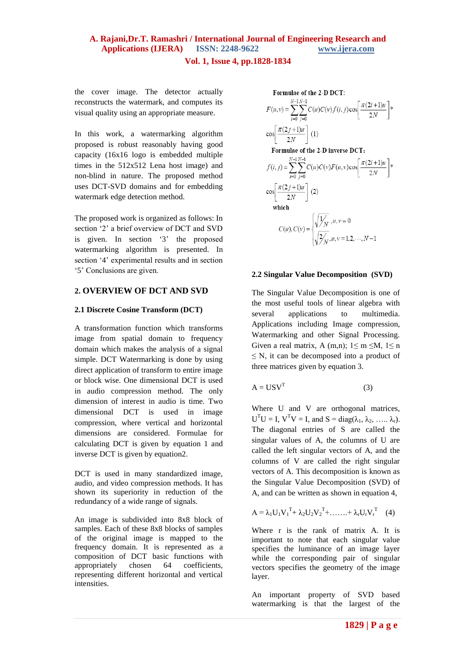# **Vol. 1, Issue 4, pp.1828-1834**

the cover image. The detector actually reconstructs the watermark, and computes its visual quality using an appropriate measure.

In this work, a watermarking algorithm proposed is robust reasonably having good capacity (16x16 logo is embedded multiple times in the 512x512 Lena host image) and non-blind in nature. The proposed method uses DCT-SVD domains and for embedding watermark edge detection method.

The proposed work is organized as follows: In section '2' a brief overview of DCT and SVD is given. In section '3' the proposed watermarking algorithm is presented. In section '4' experimental results and in section '5' Conclusions are given.

## **2. OVERVIEW OF DCT AND SVD**

#### **2.1 Discrete Cosine Transform (DCT)**

A transformation function which transforms image from spatial domain to frequency domain which makes the analysis of a signal simple. DCT Watermarking is done by using direct application of transform to entire image or block wise. One dimensional DCT is used in audio compression method. The only dimension of interest in audio is time. Two dimensional DCT is used in image compression, where vertical and horizontal dimensions are considered. Formulae for calculating DCT is given by equation 1 and inverse DCT is given by equation2.

DCT is used in many standardized image, audio, and video compression methods. It has shown its superiority in reduction of the redundancy of a wide range of signals.

An image is subdivided into 8x8 block of samples. Each of these 8x8 blocks of samples of the original image is mapped to the frequency domain. It is represented as a composition of DCT basic functions with appropriately chosen 64 coefficients, representing different horizontal and vertical intensities.

**Formulae of the 2-D DCT:**  
\n
$$
F(u, v) = \sum_{i=0}^{N-1} \sum_{j=0}^{N-1} C(u)C(v) f(i, j) \cos \left[ \frac{\pi (2i+1)u}{2N} \right] *
$$
\n
$$
\cos \left[ \frac{\pi (2j+1)u}{2N} \right] (1)
$$
\n**Formulae of the 2-D inverse DCT:**  
\n
$$
f(i, j) = \sum_{i=0}^{N-1} \sum_{j=0}^{N-1} C(u)C(v)F(u, v) \cos \left[ \frac{\pi (2i+1)u}{2N} \right] *
$$
\n
$$
\cos \left[ \frac{\pi (2j+1)u}{2N} \right] (2)
$$
\n**which**  
\n
$$
C(u), C(v) = \begin{cases} \sqrt{\frac{1}{N}}, u, v = 0 \\ \sqrt{\frac{2}{N}}, u, v = 1, 2, \dots, N-1 \end{cases}
$$

#### **2.2 Singular Value Decomposition (SVD)**

The Singular Value Decomposition is one of the most useful tools of linear algebra with several applications to multimedia. Applications including Image compression, Watermarking and other Signal Processing. Given a real matrix, A (m,n);  $1 \le m \le M$ ,  $1 \le n$  $\leq$  N, it can be decomposed into a product of three matrices given by equation 3.

$$
A = USVT
$$
 (3)

Where U and V are orthogonal matrices,  $U<sup>T</sup>U = I$ ,  $V<sup>T</sup>V = I$ , and  $S = diag(\lambda_1, \lambda_2, \ldots, \lambda_r)$ . The diagonal entries of S are called the singular values of A, the columns of U are called the left singular vectors of A, and the columns of V are called the right singular vectors of A. This decomposition is known as the Singular Value Decomposition (SVD) of A, and can be written as shown in equation 4,

$$
A = \lambda_1 U_1 V_1^T + \lambda_2 U_2 V_2^T + \dots + \lambda_r U_r V_r^T \quad (4)
$$

Where r is the rank of matrix A. It is important to note that each singular value specifies the luminance of an image layer while the corresponding pair of singular vectors specifies the geometry of the image layer.

An important property of SVD based watermarking is that the largest of the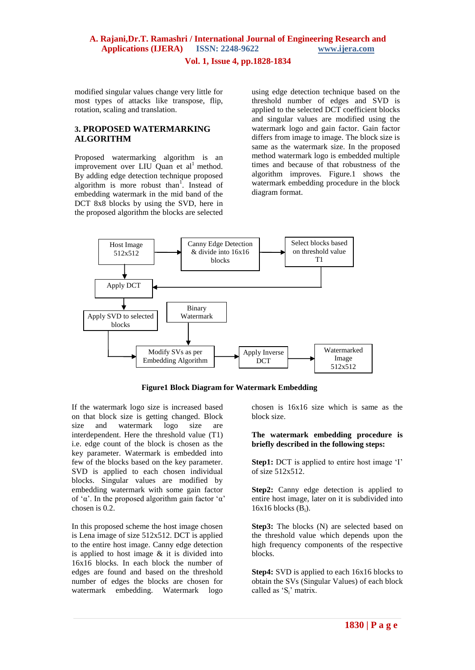#### **Vol. 1, Issue 4, pp.1828-1834**

modified singular values change very little for most types of attacks like transpose, flip, rotation, scaling and translation.

# **3. PROPOSED WATERMARKING ALGORITHM**

Proposed watermarking algorithm is an improvement over LIU Quan et  $al<sup>1</sup>$  method. By adding edge detection technique proposed algorithm is more robust than<sup>1</sup>. Instead of embedding watermark in the mid band of the DCT 8x8 blocks by using the SVD, here in the proposed algorithm the blocks are selected

using edge detection technique based on the threshold number of edges and SVD is applied to the selected DCT coefficient blocks and singular values are modified using the watermark logo and gain factor. Gain factor differs from image to image. The block size is same as the watermark size. In the proposed method watermark logo is embedded multiple times and because of that robustness of the algorithm improves. Figure.1 shows the watermark embedding procedure in the block diagram format.



| <b>Figure1 Block Diagram for Watermark Embedding</b> |  |  |
|------------------------------------------------------|--|--|
|                                                      |  |  |

If the watermark logo size is increased based on that block size is getting changed. Block size and watermark logo size are interdependent. Here the threshold value (T1) i.e. edge count of the block is chosen as the key parameter. Watermark is embedded into few of the blocks based on the key parameter. SVD is applied to each chosen individual blocks. Singular values are modified by embedding watermark with some gain factor of 'α'. In the proposed algorithm gain factor 'α' chosen is 0.2.

In this proposed scheme the host image chosen is Lena image of size 512x512. DCT is applied to the entire host image. Canny edge detection is applied to host image  $\&$  it is divided into 16x16 blocks. In each block the number of edges are found and based on the threshold number of edges the blocks are chosen for watermark embedding. Watermark logo

chosen is 16x16 size which is same as the block size.

#### **The watermark embedding procedure is briefly described in the following steps:**

**Step1:** DCT is applied to entire host image 'I' of size 512x512.

**Step2:** Canny edge detection is applied to entire host image, later on it is subdivided into  $16x16$  blocks  $(B_i)$ .

Step3: The blocks (N) are selected based on the threshold value which depends upon the high frequency components of the respective blocks.

**Step4:** SVD is applied to each 16x16 blocks to obtain the SVs (Singular Values) of each block called as 'S<sub>i</sub>' matrix.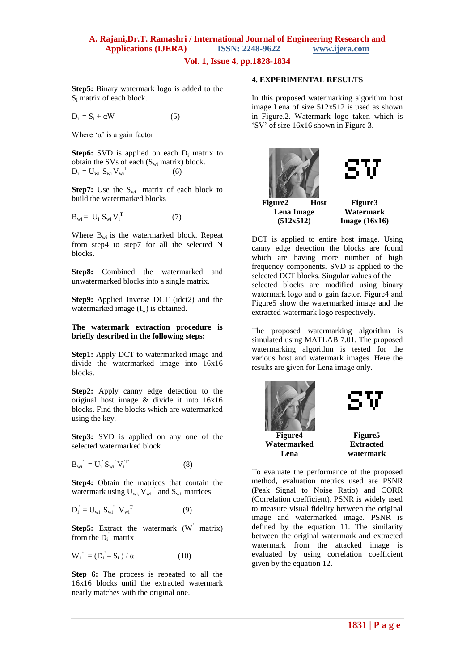**Vol. 1, Issue 4, pp.1828-1834**

**Step5:** Binary watermark logo is added to the S<sup>i</sup> matrix of each block.

$$
D_i = S_i + \alpha W \tag{5}
$$

Where ' $\alpha$ ' is a gain factor

**Step6:** SVD is applied on each  $D_i$  matrix to obtain the SVs of each  $(S_{wi}$  matrix) block.  $D_i = U_{wi} S_{wi} V_{wi}^T$ (6)

**Step7:** Use the  $S_{wi}$  matrix of each block to build the watermarked blocks

$$
\mathbf{B}_{wi} = \mathbf{U}_i \; \mathbf{S}_{wi} \, \mathbf{V}_i^{\mathrm{T}} \tag{7}
$$

Where  $B_{wi}$  is the watermarked block. Repeat from step4 to step7 for all the selected N blocks.

**Step8:** Combined the watermarked and unwatermarked blocks into a single matrix.

**Step9:** Applied Inverse DCT (idct2) and the watermarked image  $(I_w)$  is obtained.

#### **The watermark extraction procedure is briefly described in the following steps:**

**Step1:** Apply DCT to watermarked image and divide the watermarked image into 16x16 blocks.

**Step2:** Apply canny edge detection to the original host image & divide it into 16x16 blocks. Find the blocks which are watermarked using the key.

**Step3:** SVD is applied on any one of the selected watermarked block

$$
B_{wi}^{\prime}^{\prime} = U_{i}^{\prime} S_{wi}^{\prime} V_{i}^{T} \tag{8}
$$

**Step4:** Obtain the matrices that contain the watermark using  $U_{wi}$ ,  $V_{wi}$ <sup>T</sup> and  $S_{wi}$ <sup>'</sup> matrices

$$
\mathbf{D_i}^{\prime} = \mathbf{U_{wi}} \ \mathbf{S_{wi}}^{\prime} \ \mathbf{V_{wi}}^{\mathrm{T}} \tag{9}
$$

**Step5:** Extract the watermark (W<sup>'</sup> matrix) from the  $D_i$ <sup>'</sup> matrix

$$
W_i^{\prime} = (D_i - S_i) / \alpha \tag{10}
$$

**Step 6:** The process is repeated to all the 16x16 blocks until the extracted watermark nearly matches with the original one.

#### **4. EXPERIMENTAL RESULTS**

In this proposed watermarking algorithm host image Lena of size 512x512 is used as shown in Figure.2. Watermark logo taken which is 'SV' of size 16x16 shown in Figure 3.



DCT is applied to entire host image. Using canny edge detection the blocks are found which are having more number of high frequency components. SVD is applied to the selected DCT blocks. Singular values of the selected blocks are modified using binary watermark logo and  $\alpha$  gain factor. Figure4 and Figure5 show the watermarked image and the extracted watermark logo respectively.

The proposed watermarking algorithm is simulated using MATLAB 7.01. The proposed watermarking algorithm is tested for the various host and watermark images. Here the results are given for Lena image only.



To evaluate the performance of the proposed method, evaluation metrics used are PSNR (Peak Signal to Noise Ratio) and CORR (Correlation coefficient). PSNR is widely used to measure visual fidelity between the original image and watermarked image. PSNR is defined by the equation 11. The similarity between the original watermark and extracted watermark from the attacked image is evaluated by using correlation coefficient given by the equation 12.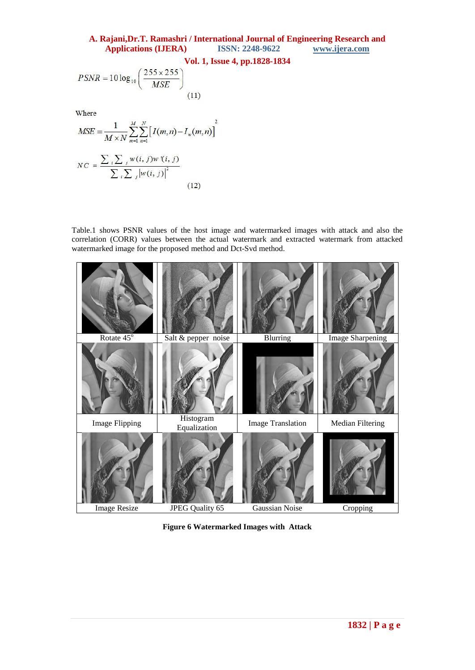# **A. Rajani,Dr.T. Ramashri / International Journal of Engineering Research and**  Applications (**IJERA**)

# **Vol. 1, Issue 4, pp.1828-1834**

$$
PSNR = 10 \log_{10} \left( \frac{255 \times 255}{MSE} \right)
$$
\n(11)

Where

$$
MSE = \frac{1}{M \times N} \sum_{m=1}^{M} \sum_{n=1}^{N} \left[ I(m,n) - I_w(m,n) \right]^2
$$
  

$$
NC = \frac{\sum_{i} \sum_{j} w(i,j) w'(i,j)}{\sum_{i} \sum_{j} |w(i,j)|^2}
$$
 (12)

Table.1 shows PSNR values of the host image and watermarked images with attack and also the correlation (CORR) values between the actual watermark and extracted watermark from attacked watermarked image for the proposed method and Dct-Svd method.



**Figure 6 Watermarked Images with Attack**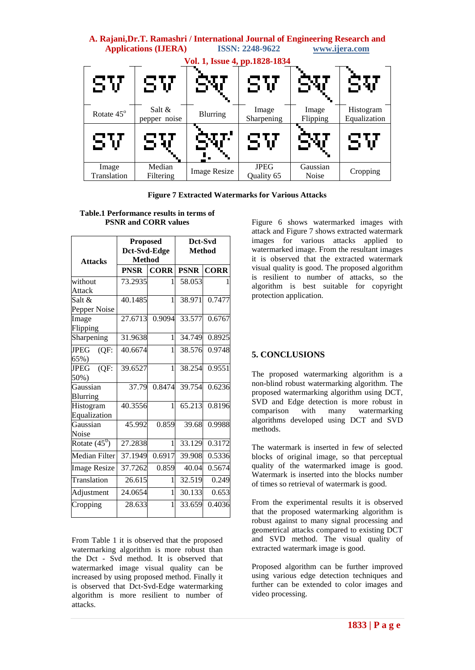| A. Rajani, Dr.T. Ramashri / International Journal of Engineering Research and<br><b>ISSN: 2248-9622</b><br><b>Applications (IJERA)</b><br>www.ijera.com |                          |                                      |                           |                          |                           |  |  |
|---------------------------------------------------------------------------------------------------------------------------------------------------------|--------------------------|--------------------------------------|---------------------------|--------------------------|---------------------------|--|--|
| SV                                                                                                                                                      | SV                       | Vol. 1, Issue 4, pp.1828-1834<br>337 | SV                        | SV                       | SV                        |  |  |
| Rotate 45°                                                                                                                                              | Salt $&$<br>pepper noise | <b>Blurring</b>                      | Image<br>Sharpening       | Image<br>Flipping        | Histogram<br>Equalization |  |  |
| SV                                                                                                                                                      | SV                       | <u>ሚሆነ</u>                           | SV                        | SV                       | SV                        |  |  |
| Image<br>Translation                                                                                                                                    | Median<br>Filtering      | <b>Image Resize</b>                  | <b>JPEG</b><br>Ouality 65 | Gaussian<br><b>Noise</b> | Cropping                  |  |  |

**Figure 7 Extracted Watermarks for Various Attacks**

### **Table.1 Performance results in terms of PSNR and CORR values**

|                     | <b>Proposed</b> |             | Dct-Svd     |             |  |
|---------------------|-----------------|-------------|-------------|-------------|--|
|                     | Dct-Svd-Edge    |             | Method      |             |  |
| <b>Attacks</b>      | <b>Method</b>   |             |             |             |  |
|                     | <b>PNSR</b>     | <b>CORR</b> | <b>PSNR</b> | <b>CORR</b> |  |
| without             | 73.2935         | 1           | 58.053      |             |  |
| Attack              |                 |             |             |             |  |
| Salt &              | 40.1485         | 1           | 38.971      | 0.7477      |  |
| Pepper Noise        |                 |             |             |             |  |
| Image               | 27.6713         | 0.9094      | 33.577      | 0.6767      |  |
| Flipping            |                 |             |             |             |  |
| Sharpening          | 31.9638         | 1           | 34.749      | 0.8925      |  |
| <b>JPEG</b><br>(QF) | 40.6674         | 1           | 38.576      | 0.9748      |  |
| 65%)                |                 |             |             |             |  |
| JPEG<br>(OF)        | 39.6527         | 1           | 38.254      | 0.9551      |  |
| 50%)                |                 |             |             |             |  |
| Gaussian            | 37.79           | 0.8474      | 39.754      | 0.6236      |  |
| Blurring            |                 |             |             |             |  |
| Histogram           | 40.3556         | 1           | 65.213      | 0.8196      |  |
| Equalization        |                 |             |             |             |  |
| Gaussian            | 45.992          | 0.859       | 39.68       | 0.9988      |  |
| Noise               |                 |             |             |             |  |
| Rotate $(45^0)$     | 27.2838         | 1           | 33.129      | 0.3172      |  |
| Median Filter       | 37.1949         | 0.6917      | 39.908      | 0.5336      |  |
| <b>Image Resize</b> | 37.7262         | 0.859       | 40.04       | 0.5674      |  |
| Translation         | 26.615          | 1           | 32.519      | 0.249       |  |
| Adjustment          | 24.0654         | 1           | 30.133      | 0.653       |  |
| Cropping            | 28.633          | 1           | 33.659      | 0.4036      |  |

From Table 1 it is observed that the proposed watermarking algorithm is more robust than the Dct - Svd method. It is observed that watermarked image visual quality can be increased by using proposed method. Finally it is observed that Dct-Svd-Edge watermarking algorithm is more resilient to number of attacks.

Figure 6 shows watermarked images with attack and Figure 7 shows extracted watermark images for various attacks applied to watermarked image. From the resultant images it is observed that the extracted watermark visual quality is good. The proposed algorithm is resilient to number of attacks, so the algorithm is best suitable for copyright protection application.

# **5. CONCLUSIONS**

The proposed watermarking algorithm is a non-blind robust watermarking algorithm. The proposed watermarking algorithm using DCT, SVD and Edge detection is more robust in comparison with many watermarking algorithms developed using DCT and SVD methods.

The watermark is inserted in few of selected blocks of original image, so that perceptual quality of the watermarked image is good. Watermark is inserted into the blocks number of times so retrieval of watermark is good.

From the experimental results it is observed that the proposed watermarking algorithm is robust against to many signal processing and geometrical attacks compared to existing DCT and SVD method. The visual quality of extracted watermark image is good.

Proposed algorithm can be further improved using various edge detection techniques and further can be extended to color images and video processing.